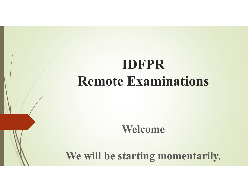# **IDFPR Remote Examinations**

**Welcome**

**We will be starting momentarily.**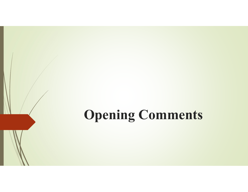# **Opening Comments**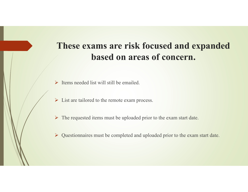# **These exams are risk focused and expanded based on areas of concern.**

- $\triangleright$  Items needed list will still be emailed.
- $\triangleright$  List are tailored to the remote exam process.
- $\triangleright$  The requested items must be uploaded prior to the exam start date.
- Questionnaires must be completed and uploaded prior to the exam start date.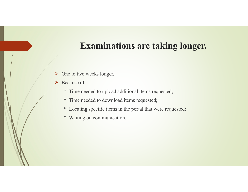# **Examinations are taking longer.**

- $\triangleright$  One to two weeks longer.
- **►** Because of:
	- \* Time needed to upload additional items requested;
	- \* Time needed to download items requested;
	- \* Locating specific items in the portal that were requested;
	- \* Waiting on communication.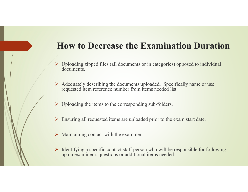# **How to Decrease the Examination Duration**

- Uploading zipped files (all documents or in categories) opposed to individual documents.
- $\triangleright$  Adequately describing the documents uploaded. Specifically name or use requested item reference number from items needed list.
- $\triangleright$  Uploading the items to the corresponding sub-folders.
- Ensuring all requested items are uploaded prior to the exam start date.
- $\triangleright$  Maintaining contact with the examiner.
- $\triangleright$  Identifying a specific contact staff person who will be responsible for following up on examiner's questions or additional items needed.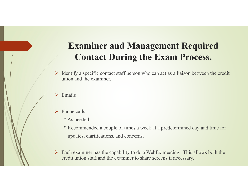# **Examiner and Management Required Contact During the Exam Process.**

- $\triangleright$  Identify a specific contact staff person who can act as a liaison between the credit union and the examiner.
- $\blacktriangleright$ Emails
- $\triangleright$  Phone calls:
	- \* As needed.
	- \* Recommended a couple of times a week at a predetermined day and time for updates, clarifications, and concerns.
- $\triangleright$  Each examiner has the capability to do a WebEx meeting. This allows both the credit union staff and the examiner to share screens if necessary.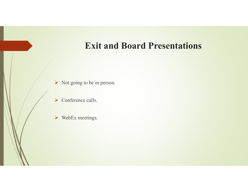# **Exit and Board Presentations**

- $\triangleright$  Not going to be in person.
- $\triangleright$  Conference calls.
- WebEx meetings.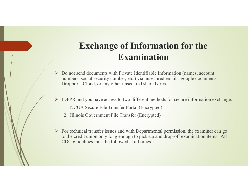# **Exchange of Information for the Examination**

- $\triangleright$  Do not send documents with Private Identifiable Information (names, account numbers, social security number, etc.) via unsecured emails, google documents, Dropbox, iCloud, or any other unsecured shared drive.
- IDFPR and you have access to two different methods for secure information exchange.
	- 1. NCUA Secure File Transfer Portal (Encrypted)
	- 2. Illinois Government File Transfer (Encrypted)
- $\triangleright$  For technical transfer issues and with Departmental permission, the examiner can go to the credit union only long enough to pick-up and drop-off examination items. All CDC guidelines must be followed at all times.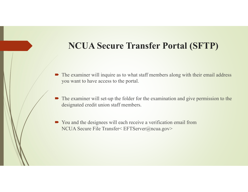# **NCUA Secure Transfer Portal (SFTP)**

- The examiner will inquire as to what staff members along with their email address you want to have access to the portal.
- $\blacksquare$  The examiner will set-up the folder for the examination and give permission to the designated credit union staff members.
- You and the designees will each receive a verification email from NCUA Secure File Transfer< EFTServer@ncua.gov>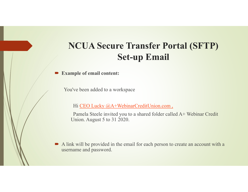# **NCUA Secure Transfer Portal (SFTP) Set-up Email**

 $\blacksquare$ **Example of email content:**

You've been added to a workspace

Hi CEO Lucky @A+WebinarCreditUnion.com,

Pamela Steele invited you to a shared folder called A+ Webinar Credit Union. August 5 to 31 2020.

A link will be provided in the email for each person to create an account with a username and password.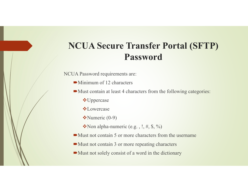# **NCUA Secure Transfer Portal (SFTP) Password**

NCUA Password requirements are:

- Minimum of 12 characters
- Must contain at least 4 characters from the following categories:
	- Uppercase
	- **☆Lowercase**
	- \*Numeric (0-9)
	- $\cdot$ Non alpha-numeric (e.g., !, #, \$, %)
- $\blacktriangleright$  Must not contain 5 or more characters from the username
- Must not contain 3 or more repeating characters
- Must not solely consist of a word in the dictionary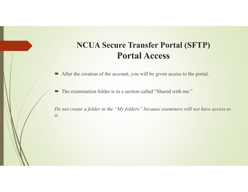## **NCUA Secure Transfer Portal (SFTP) Portal Access**

After the creation of the account, you will be given access to the portal.

 $\blacksquare$ The examination folder is in a section called "Shared with me."

*Do not create a folder in the "My folders" because examiners will not have access to it.*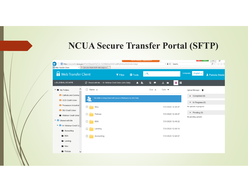# **NCUA Secure Transfer Portal (SFTP)**

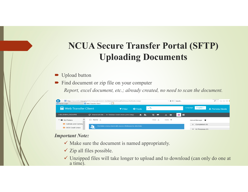# **NCUA Secure Transfer Portal (SFTP) Uploading Documents**

- Upload button
- **■** Find document or zip file on your computer

*Report, excel document, etc.; already created, no need to scan the document.*



### *Important Note:*

- $\checkmark$  Make sure the document is named appropriately.
- $\checkmark$  Zip all files possible.
- Unzipped files will take longer to upload and to download (can only do one at a time).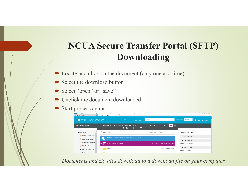# **NCUA Secure Transfer Portal (SFTP) Downloading**

- Locate and click on the document (only one at a time)
- Select the download button
- Select "open" or "save"
- Unclick the document downloaded
- $\blacksquare$ Start process again.

| ᆂ<br>Server Login                      | <b>BEET HUDS://SCUREARCHUNGUDV/T/704.JJHGEUHI704.J/MT/704.VVCDIHGI/04.VUCDLICUH/04.VUHINH/04.VUUHILDGIIY//</b><br>Web Transfer Client<br>$\times$ 1 |                            | $1.3001$ GHz.<br>$=$ $\sim$ $-$ | <b>PER THE AT ASSES</b>                        |
|----------------------------------------|-----------------------------------------------------------------------------------------------------------------------------------------------------|----------------------------|---------------------------------|------------------------------------------------|
| <b>B</b> Web Transfer Client           | $\bullet$ Tools<br>$T$ Filter                                                                                                                       | $-9$                       |                                 | English $\sim$<br>Language:<br>1 Pamela Steele |
| <b>byGLOBALSCAPE</b>                   | C. Shared with Me / A+ Webinar Credit Union (John.Daily)<br>$\odot$ $\blacksquare$<br>G.<br>۵<br>$\mathcal{A}_{\Omega}$                             | г<br>at a<br>$\rightarrow$ | 無し<br>H<br>土<br><b>F</b>        |                                                |
| My Folders<br>$\overline{\phantom{a}}$ | $\Box$ Name $\triangle$                                                                                                                             | $Size -$                   | Date $\blacktriangledown$       | Upload Manager                                 |
| <b>ET</b> Catholic and Commu           | This folder is being shared with you as a Workspace by John.Daily.                                                                                  |                            |                                 | $\triangleright$ Completed (1)                 |
| <b>ET</b> GCS Credit Union             |                                                                                                                                                     |                            |                                 | $\blacktriangleright$ In Progress (0)          |
| <b>ET</b> Processors Industrial        | <b>M</b><br>Using State's portal.pdf                                                                                                                | 56.51 KB                   | 8/5/2020 13:12:03               | No uploads in progress                         |
| SIU Credit Union                       |                                                                                                                                                     |                            | 7/31/2020 12:48:57              | $\blacktriangleright$ Pending (0)              |
| Webinar Credit Unior<br>٠              | Misc                                                                                                                                                |                            |                                 | No pending uploads                             |
| <b>Accounting</b>                      | — <del>— —</del> — — —                                                                                                                              |                            |                                 |                                                |

*Documents and zip files download to a download file on your computer*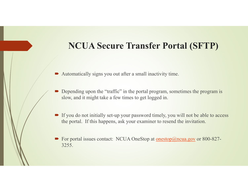# **NCUA Secure Transfer Portal (SFTP)**

- Automatically signs you out after a small inactivity time.
- $\blacksquare$ Depending upon the "traffic" in the portal program, sometimes the program is slow, and it might take a few times to get logged in.
- If you do not initially set-up your password timely, you will not be able to access the portal. If this happens, ask your examiner to resend the invitation.
- For portal issues contact: NCUA OneStop at <u>onestop@ncua.gov</u> or 800-827-3255.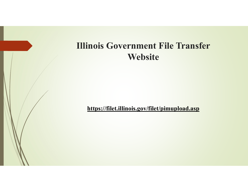# **Illinois Government File Transfer Website**

**https://filet.illinois.gov/filet/pimupload.asp**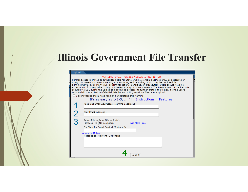# **Illinois Government File Transfer**

#### Upload

#### WARNING! UNAUTHORIZED ACCESS IS PROHIBITED

Further access is limited to authorized users for State of Illinois official business only. By accessing or using this system you are consenting to monitoring and recording, which may be disclosed for administrative, disciplinary, civil, or criminal actions, penalties, or prosecution. Users should have no expectation of privacy when using this system or any of its components. The transmission of the file(s) is secured via SSL during the upload and download process; to further protect the file(s), it is the user's responsibility to protect confidential data by encrypting sensitive files before upload.

 $\Box$  I acknowledge that I have read and understand this warning.

| It's as easy as 1-2-3,  4! Instructions Features!                |                  |  |
|------------------------------------------------------------------|------------------|--|
| Recipient Email Addresses: (comma separated)                     |                  |  |
|                                                                  |                  |  |
| Your Email Address:                                              |                  |  |
|                                                                  |                  |  |
| Select File to Send (Up to 2 gig):<br>Choose File No file chosen | + Add More Files |  |
| File Transfer Email Subject (Optional):                          |                  |  |
|                                                                  |                  |  |
| <b>Advanced Options</b>                                          |                  |  |
| Message to Recipient (Optional):                                 |                  |  |
|                                                                  |                  |  |
|                                                                  |                  |  |
|                                                                  |                  |  |
|                                                                  | Send It!         |  |
|                                                                  |                  |  |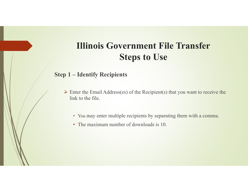### **Step 1 – Identify Recipients**

- $\triangleright$  Enter the Email Address(es) of the Recipient(s) that you want to receive the link to the file.
	- You may enter multiple recipients by separating them with a comma.
	- The maximum number of downloads is 10.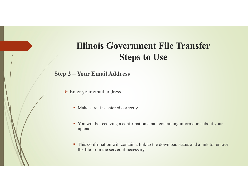### **Step 2 – Your Email Address**

- Enter your email address.
	- Make sure it is entered correctly.
	- You will be receiving a confirmation email containing information about your upload.
	- This confirmation will contain a link to the download status and a link to remove the file from the server, if necessary.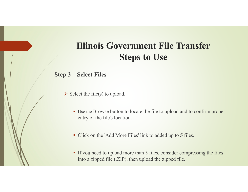### **Step 3 – Select Files**

- $\triangleright$  Select the file(s) to upload.
	- Use the Browse button to locate the file to upload and to confirm proper entry of the file's location.
	- Click on the 'Add More Files' link to added up to **5** files.
	- If you need to upload more than 5 files, consider compressing the files into a zipped file (.ZIP), then upload the zipped file.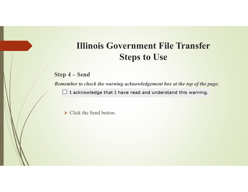**Step 4 – Send**

*Remember to check the warning acknowledgement box at the top of the page.*

□ I acknowledge that I have read and understand this warning.

 $\triangleright$  Click the Send button.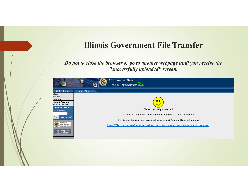## **Illinois Government File Transfer**

*Do not to close the browser or go to another webpage until you receive the "successfully uploaded" screen.* 

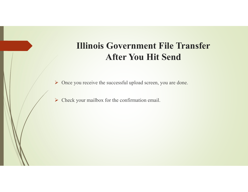# **Illinois Government File Transfer After You Hit Send**

▶ Once you receive the successful upload screen, you are done.

 $\triangleright$  Check your mailbox for the confirmation email.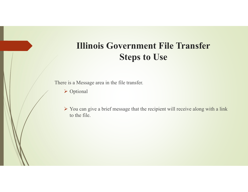There is a Message area in the file transfer.

- Optional
- $\triangleright$  You can give a brief message that the recipient will receive along with a link to the file.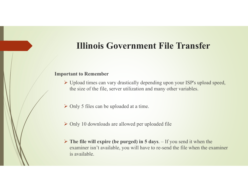# **Illinois Government File Transfer**

### **Important to Remember**

- Upload times can vary drastically depending upon your ISP's upload speed, the size of the file, server utilization and many other variables.
- Only 5 files can be uploaded at a time.
- Only 10 downloads are allowed per uploaded file
- **The file will expire (be purged) in 5 days**. If you send it when the examiner isn't available, you will have to re-send the file when the examiner is available.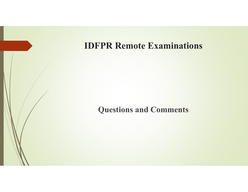